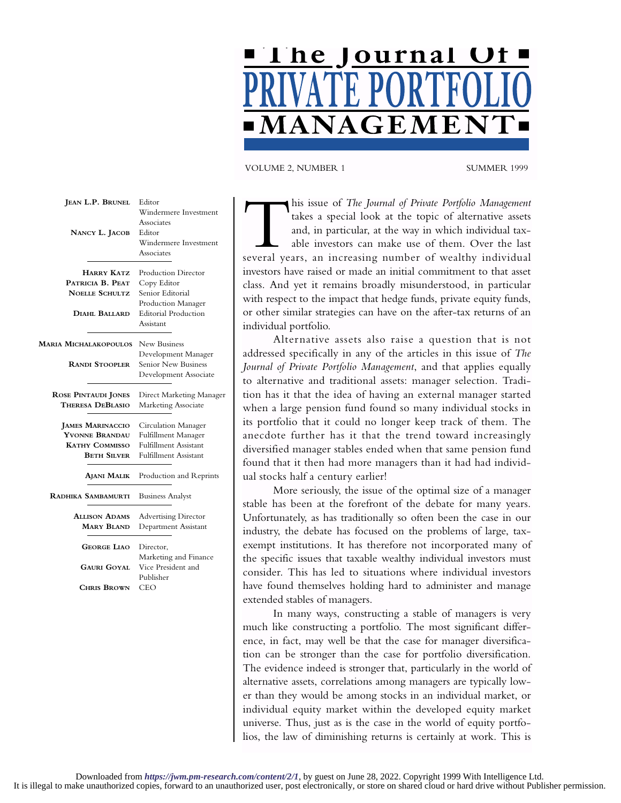

VOLUME 2, NUMBER 1 SUMMER 1999

| JEAN L.P. BRUNEL<br>NANCY L. JACOB                                                       | Editor<br>Windermere Investment<br>Associates<br>Editor<br>Windermere Investment<br>Associates                                  |
|------------------------------------------------------------------------------------------|---------------------------------------------------------------------------------------------------------------------------------|
| <b>HARRY KATZ</b><br>PATRICIA B. PEAT<br><b>NOELLE SCHULTZ</b><br>DIAHL BALLARD          | <b>Production Director</b><br>Copy Editor<br>Senior Editorial<br>Production Manager<br><b>Editorial Production</b><br>Assistant |
| Maria Michalakopoulos<br><b>RANDI STOOPLER</b>                                           | New Business<br>Development Manager<br><b>Senior New Business</b><br>Development Associate                                      |
| <b>ROSE PINTAUDI JONES</b><br><b>THERESA DEBLASIO</b>                                    | Direct Marketing Manager<br>Marketing Associate                                                                                 |
| <b>JAMES MARINACCIO</b><br>YVONNE BRANDAU<br><b>KATHY COMMISSO</b><br><b>BETH SILVER</b> | Circulation Manager<br><b>Fulfillment Manager</b><br><b>Fulfillment Assistant</b><br><b>Fulfillment Assistant</b>               |
| AJANI MALIK                                                                              | Production and Reprints                                                                                                         |
| RADHIKA SAMBAMURTI                                                                       | <b>Business Analyst</b>                                                                                                         |
| <b>ALLISON ADAMS</b><br><b>MARY BLAND</b>                                                | <b>Advertising Director</b><br>Department Assistant                                                                             |
| <b>GEORGE LIAO</b><br><b>GAURI GOYAL</b><br><b>CHRIS BROWN</b>                           | Director,<br>Marketing and Finance<br>Vice President and<br>Publisher<br>CEO                                                    |
|                                                                                          |                                                                                                                                 |

This issue of *The Journal of Private Portfolio Management*<br>takes a special look at the topic of alternative assets<br>and, in particular, at the way in which individual tax-<br>able investors can make use of them. Over the last takes a special look at the topic of alternative assets and, in particular, at the way in which individual taxable investors can make use of them. Over the last investors have raised or made an initial commitment to that asset class. And yet it remains broadly misunderstood, in particular with respect to the impact that hedge funds, private equity funds, or other similar strategies can have on the after-tax returns of an individual portfolio.

Alternative assets also raise a question that is not addressed specifically in any of the articles in this issue of *The Journal of Private Portfolio Management*, and that applies equally to alternative and traditional assets: manager selection. Tradition has it that the idea of having an external manager started when a large pension fund found so many individual stocks in its portfolio that it could no longer keep track of them. The anecdote further has it that the trend toward increasingly diversified manager stables ended when that same pension fund found that it then had more managers than it had had individual stocks half a century earlier!

More seriously, the issue of the optimal size of a manager stable has been at the forefront of the debate for many years. Unfortunately, as has traditionally so often been the case in our industry, the debate has focused on the problems of large, taxexempt institutions. It has therefore not incorporated many of the specific issues that taxable wealthy individual investors must consider. This has led to situations where individual investors have found themselves holding hard to administer and manage extended stables of managers.

In many ways, constructing a stable of managers is very much like constructing a portfolio. The most significant difference, in fact, may well be that the case for manager diversification can be stronger than the case for portfolio diversification. The evidence indeed is stronger that, particularly in the world of alternative assets, correlations among managers are typically lower than they would be among stocks in an individual market, or individual equity market within the developed equity market universe. Thus, just as is the case in the world of equity portfolios, the law of diminishing returns is certainly at work. This is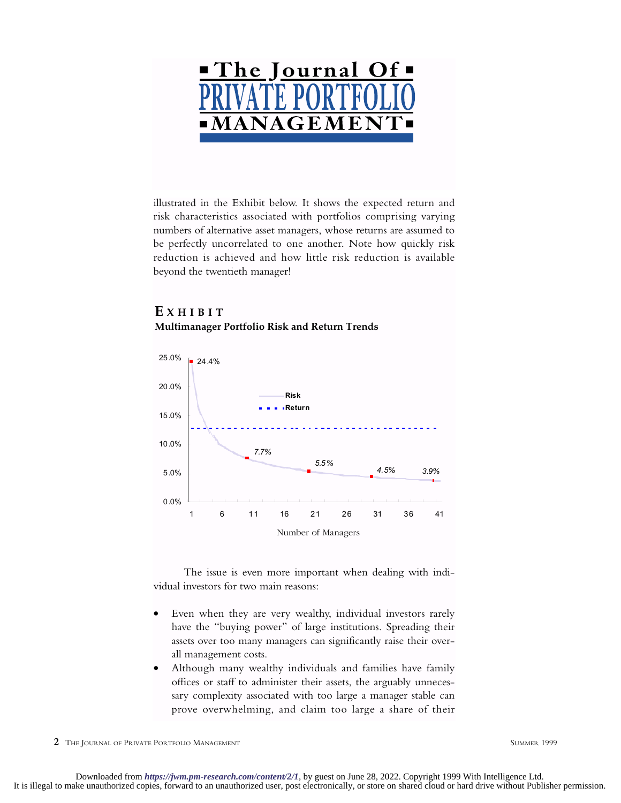

illustrated in the Exhibit below. It shows the expected return and risk characteristics associated with portfolios comprising varying numbers of alternative asset managers, whose returns are assumed to be perfectly uncorrelated to one another. Note how quickly risk reduction is achieved and how little risk reduction is available beyond the twentieth manager!

## **E XHIBIT Multimanager Portfolio Risk and Return Trends**



The issue is even more important when dealing with individual investors for two main reasons:

- Even when they are very wealthy, individual investors rarely have the "buying power" of large institutions. Spreading their assets over too many managers can significantly raise their overall management costs.
- Although many wealthy individuals and families have family offices or staff to administer their assets, the arguably unnecessary complexity associated with too large a manager stable can prove overwhelming, and claim too large a share of their

**2** THE JOURNAL OF PRIVATE PORTFOLIO MANAGEMENT SUMMER 1999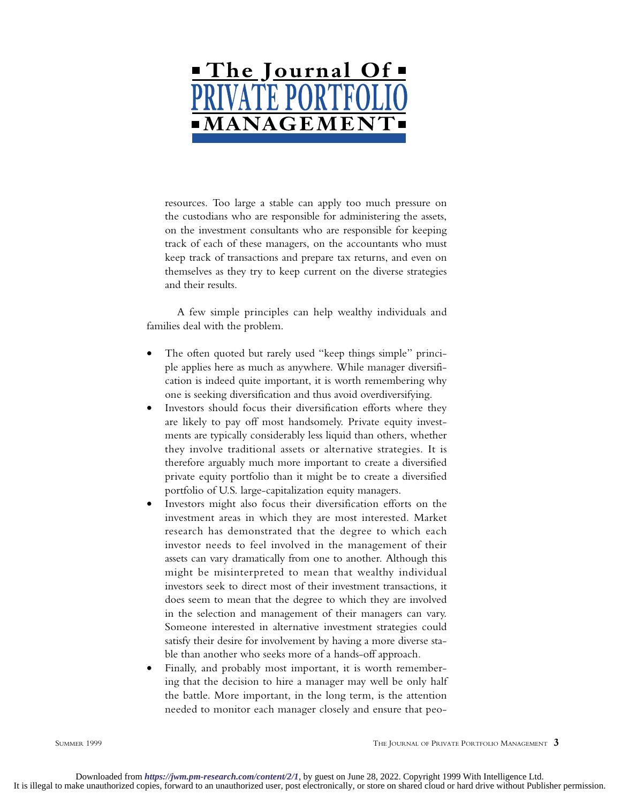

resources. Too large a stable can apply too much pressure on the custodians who are responsible for administering the assets, on the investment consultants who are responsible for keeping track of each of these managers, on the accountants who must keep track of transactions and prepare tax returns, and even on themselves as they try to keep current on the diverse strategies and their results.

A few simple principles can help wealthy individuals and families deal with the problem.

- The often quoted but rarely used "keep things simple" principle applies here as much as anywhere. While manager diversification is indeed quite important, it is worth remembering why one is seeking diversification and thus avoid overdiversifying.
- Investors should focus their diversification efforts where they are likely to pay off most handsomely. Private equity investments are typically considerably less liquid than others, whether they involve traditional assets or alternative strategies. It is therefore arguably much more important to create a diversified private equity portfolio than it might be to create a diversified portfolio of U.S. large-capitalization equity managers.
- Investors might also focus their diversification efforts on the investment areas in which they are most interested. Market research has demonstrated that the degree to which each investor needs to feel involved in the management of their assets can vary dramatically from one to another. Although this might be misinterpreted to mean that wealthy individual investors seek to direct most of their investment transactions, it does seem to mean that the degree to which they are involved in the selection and management of their managers can vary. Someone interested in alternative investment strategies could satisfy their desire for involvement by having a more diverse stable than another who seeks more of a hands-off approach.
- Finally, and probably most important, it is worth remembering that the decision to hire a manager may well be only half the battle. More important, in the long term, is the attention needed to monitor each manager closely and ensure that peo-